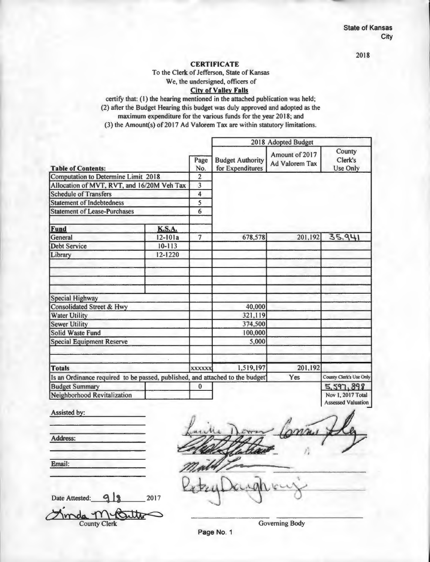**CERTIFICATE** 

To the Clerk of Jefferson, State of Kansas

## We, the undersigned, officers of

#### **City of Valley Falls**

certify that: (I) the hearing mentioned in the attached publication was held; (2) after the Budget Hearing this budget was duly approved and adopted as the maximum expenditure for the various funds for the year 2018; and (3) the Amount(s) of 2017 Ad Valorem Tax are within statutory limitations.

2018 Adopted Budget Amount of 2017 Page Budget Authority Ad Valorem Tax **Table of Contents:** Computation to Determine Limit 2018 2 Allocation of MVT, RVT, and 16/20M Veh Tax 3 Schedule of Transfers 4 Statement of Indebtedness 5 Statement of Lease-Purchases 6 Fund **K.S.A.** General 12-101a 7 678,578 201,192 Debt Service 10-113 Library 12-1220 Special Highway Consolidated Street & Hwy 40,000<br>Water Utility 321,119 Water Utility 321,119<br>Sewer Utility 374,500 **Sewer Utility** Solid Waste Fund 100,000 Special Equipment Reserve 5,000 **Totals 1,519,197 201,192** Is an Ordinance required to be passed, published, and attached to the budget<sup>1</sup> Yes Budget Summary **0** 0 Neighborhood Revitalization **County** Clerk's Use Onlv  $35,941$ County Clerk's Use Only 5,597,898 Nov I, 2017 Total

Assisted by:

Assessed Valuation -

Email:

Address:

Date Attested: **9 | 3** 2017 Finda M-Buttes County Clerk Governing Body

Page No. 1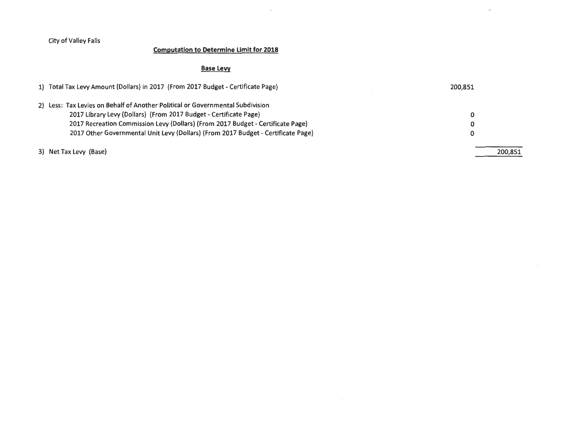## **Computation to Determine Limit for 2018**

## **Base Levy**

| 1) Total Tax Levy Amount (Dollars) in 2017 (From 2017 Budget - Certificate Page)  | 200.851 |
|-----------------------------------------------------------------------------------|---------|
| 2) Less: Tax Levies on Behalf of Another Political or Governmental Subdivision    |         |
| 2017 Library Levy (Dollars) (From 2017 Budget - Certificate Page)                 | 0       |
| 2017 Recreation Commission Levy (Dollars) (From 2017 Budget - Certificate Page)   | 0       |
| 2017 Other Governmental Unit Levy (Dollars) (From 2017 Budget - Certificate Page) |         |
| 3) Net Tax Levy (Base)                                                            | 200,851 |

 $\sim 10^{-1}$ 

 $\sim$ 

 $\sim$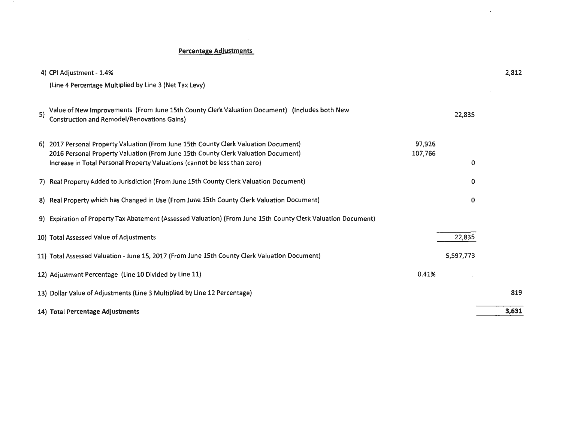### **Percentage Adjustments**

|    | 4) CPI Adjustment - 1.4%                                                                                                                                                                                                                               |                   | 2,812 |
|----|--------------------------------------------------------------------------------------------------------------------------------------------------------------------------------------------------------------------------------------------------------|-------------------|-------|
|    | (Line 4 Percentage Multiplied by Line 3 (Net Tax Levy)                                                                                                                                                                                                 |                   |       |
| 5) | Value of New Improvements (From June 15th County Clerk Valuation Document) (Includes both New<br><b>Construction and Remodel/Renovations Gains)</b>                                                                                                    | 22,835            |       |
|    | 6) 2017 Personal Property Valuation (From June 15th County Clerk Valuation Document)<br>2016 Personal Property Valuation (From June 15th County Clerk Valuation Document)<br>Increase in Total Personal Property Valuations (cannot be less than zero) | 97,926<br>107,766 | 0     |
|    | 7) Real Property Added to Jurisdiction (From June 15th County Clerk Valuation Document)                                                                                                                                                                |                   | 0     |
|    | 8) Real Property which has Changed in Use (From June 15th County Clerk Valuation Document)                                                                                                                                                             |                   | 0     |
|    | 9) Expiration of Property Tax Abatement (Assessed Valuation) (From June 15th County Clerk Valuation Document)                                                                                                                                          |                   |       |
|    | 10) Total Assessed Value of Adjustments                                                                                                                                                                                                                | 22,835            |       |
|    | 11) Total Assessed Valuation - June 15, 2017 (From June 15th County Clerk Valuation Document)                                                                                                                                                          | 5,597,773         |       |
|    | 12) Adjustment Percentage (Line 10 Divided by Line 11)                                                                                                                                                                                                 | 0.41%             |       |
|    | 13) Dollar Value of Adjustments (Line 3 Multiplied by Line 12 Percentage)                                                                                                                                                                              |                   | 819   |
|    | 14) Total Percentage Adjustments                                                                                                                                                                                                                       |                   | 3,631 |

 $\overline{2}$ 

 $\sim 10^{-1}$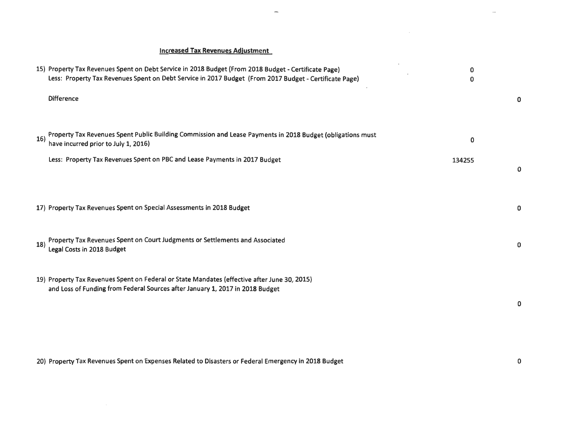## **Increased Tax Revenues Adjustment**

|     | 15) Property Tax Revenues Spent on Debt Service in 2018 Budget (From 2018 Budget - Certificate Page)<br>Less: Property Tax Revenues Spent on Debt Service in 2017 Budget (From 2017 Budget - Certificate Page) | 0<br>0 |   |
|-----|----------------------------------------------------------------------------------------------------------------------------------------------------------------------------------------------------------------|--------|---|
|     | <b>Difference</b>                                                                                                                                                                                              |        | 0 |
| 16) | Property Tax Revenues Spent Public Building Commission and Lease Payments in 2018 Budget (obligations must<br>have incurred prior to July 1, 2016)                                                             | 0      |   |
|     | Less: Property Tax Revenues Spent on PBC and Lease Payments in 2017 Budget                                                                                                                                     | 134255 | 0 |
|     | 17) Property Tax Revenues Spent on Special Assessments in 2018 Budget                                                                                                                                          |        | 0 |
| 18) | Property Tax Revenues Spent on Court Judgments or Settlements and Associated<br>Legal Costs in 2018 Budget                                                                                                     |        | 0 |
|     | 19) Property Tax Revenues Spent on Federal or State Mandates (effective after June 30, 2015)<br>and Loss of Funding from Federal Sources after January 1, 2017 in 2018 Budget                                  |        | 0 |
|     |                                                                                                                                                                                                                |        |   |

 $\overline{a}$ 

20) Property Tax Revenues Spent on Expenses Related to Disasters or Federal Emergency in 2018 Budget

0

 $\sim$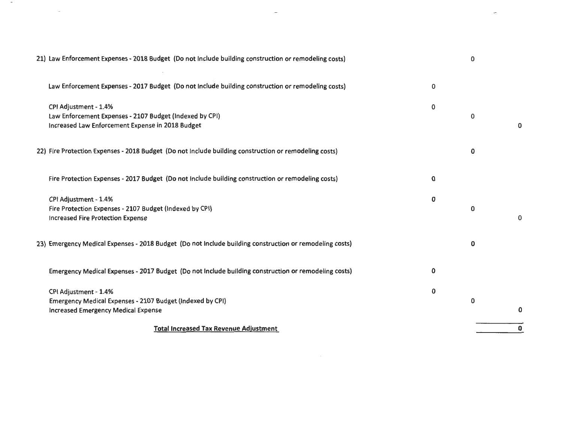| 21) Law Enforcement Expenses - 2018 Budget (Do not Include building construction or remodeling costs)                                |   | 0 |   |
|--------------------------------------------------------------------------------------------------------------------------------------|---|---|---|
| Law Enforcement Expenses - 2017 Budget (Do not Include building construction or remodeling costs)                                    | 0 |   |   |
| CPI Adjustment - 1.4%<br>Law Enforcement Expenses - 2107 Budget (Indexed by CPI)<br>Increased Law Enforcement Expense in 2018 Budget | 0 | 0 | 0 |
| 22) Fire Protection Expenses - 2018 Budget (Do not Include building construction or remodeling costs)                                |   | 0 |   |
| Fire Protection Expenses - 2017 Budget (Do not Include building construction or remodeling costs)                                    | 0 |   |   |
| CPI Adjustment - 1.4%<br>Fire Protection Expenses - 2107 Budget (Indexed by CPI)<br><b>Increased Fire Protection Expense</b>         | 0 | 0 | 0 |
| 23) Emergency Medical Expenses - 2018 Budget (Do not Include building construction or remodeling costs)                              |   | 0 |   |
| Emergency Medical Expenses - 2017 Budget (Do not Include building construction or remodeling costs)                                  | 0 |   |   |
| CPI Adjustment - 1.4%<br>Emergency Medical Expenses - 2107 Budget (indexed by CPI)<br><b>Increased Emergency Medical Expense</b>     | 0 | 0 | 0 |
| <b>Total Increased Tax Revenue Adjustment</b>                                                                                        |   |   | 0 |

 $-$ 

 $\sim$ 

 $\mathcal{L}^{\text{max}}_{\text{max}}$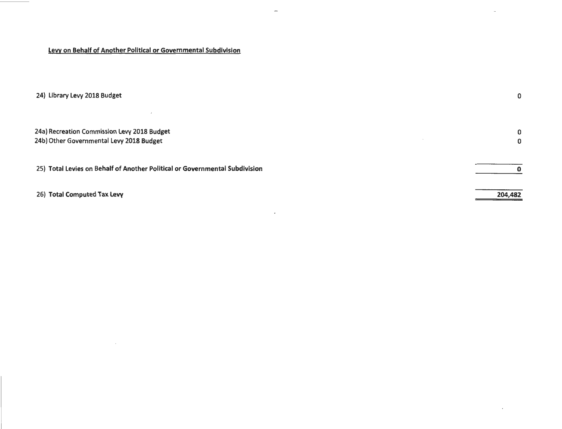## Levy on Behalf of Another Political or Governmental Subdivision

 $\sim 100$ 

| 24) Library Levy 2018 Budget                                                            | 0       |
|-----------------------------------------------------------------------------------------|---------|
| 24a) Recreation Commission Levy 2018 Budget<br>24b) Other Governmental Levy 2018 Budget | 0<br>0  |
| 25) Total Levies on Behalf of Another Political or Governmental Subdivision             |         |
| 26) Total Computed Tax Levy                                                             | 204,482 |

 $\sim$ 

 $\overline{\phantom{a}}$ 

 $\omega$ 

 $\sim 10^{-10}$  km  $^{-1}$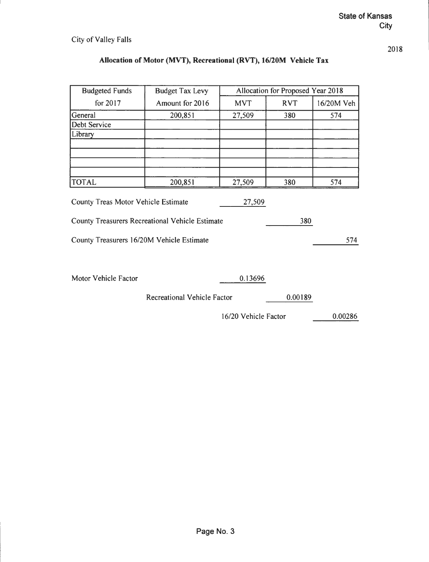# **Allocation of Motor (MVT), Recreational (RVT), 16/20M Vehicle Tax**

| <b>Budgeted Funds</b>                     | <b>Budget Tax Levy</b>                                 |                      | Allocation for Proposed Year 2018 |            |
|-------------------------------------------|--------------------------------------------------------|----------------------|-----------------------------------|------------|
| for 2017                                  | Amount for 2016                                        | <b>MVT</b>           | <b>RVT</b>                        | 16/20M Veh |
| General                                   | 200,851                                                | 27,509               | 380                               | 574        |
| Debt Service                              |                                                        |                      |                                   |            |
| Library                                   |                                                        |                      |                                   |            |
|                                           |                                                        |                      |                                   |            |
|                                           |                                                        |                      |                                   |            |
|                                           |                                                        |                      |                                   |            |
| <b>TOTAL</b>                              | 200,851                                                | 27,509               | 380                               | 574        |
| County Treas Motor Vehicle Estimate       |                                                        | 27,509               |                                   |            |
|                                           | <b>County Treasurers Recreational Vehicle Estimate</b> |                      | 380                               |            |
| County Treasurers 16/20M Vehicle Estimate |                                                        |                      |                                   | 574        |
| Motor Vehicle Factor                      |                                                        | 0.13696              |                                   |            |
|                                           | Recreational Vehicle Factor                            |                      | 0.00189                           |            |
|                                           |                                                        | 16/20 Vehicle Factor |                                   | 0.00286    |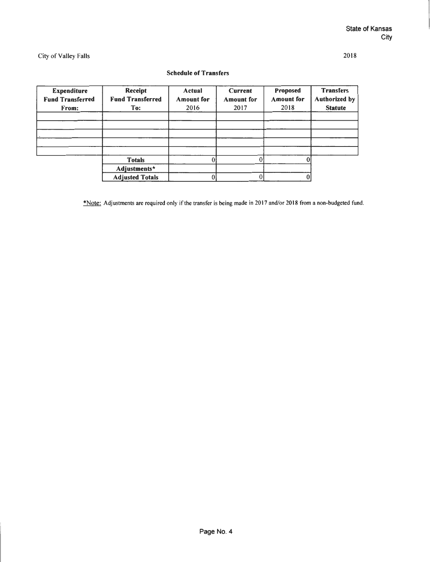#### **Schedule of Transfers**

| <b>Expenditure</b><br><b>Fund Transferred</b><br>From: | Receipt<br><b>Fund Transferred</b><br>To: | Actual<br><b>Amount</b> for<br>2016 | Current<br><b>Amount</b> for<br>2017 | Proposed<br><b>Amount</b> for<br>2018 | <b>Transfers</b><br><b>Authorized by</b><br><b>Statute</b> |
|--------------------------------------------------------|-------------------------------------------|-------------------------------------|--------------------------------------|---------------------------------------|------------------------------------------------------------|
|                                                        |                                           |                                     |                                      |                                       |                                                            |
|                                                        |                                           |                                     |                                      |                                       |                                                            |
|                                                        |                                           |                                     |                                      |                                       |                                                            |
|                                                        |                                           |                                     |                                      |                                       |                                                            |
|                                                        |                                           |                                     |                                      |                                       |                                                            |
|                                                        | <b>Totals</b>                             |                                     |                                      |                                       |                                                            |
|                                                        | Adjustments*                              |                                     |                                      |                                       |                                                            |
|                                                        | <b>Adjusted Totals</b>                    |                                     |                                      |                                       |                                                            |

\*Note: Adjustments are required only if the transfer is being made in 20 17 and/or 20 18 from a non-budgeted fund.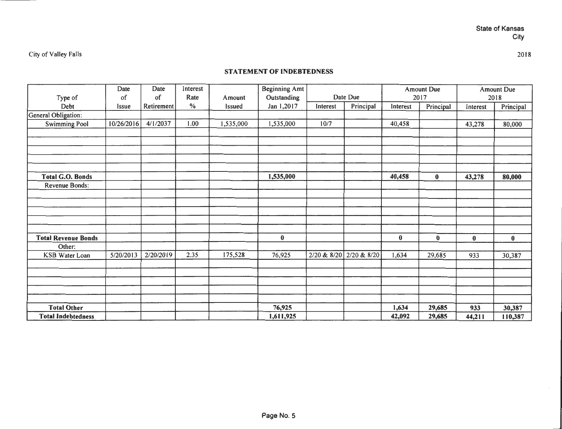2018

City of Valley Falls

## **STATEMENT OF INDEBTEDNESS**

|                            | Date         | Date       | Interest |               | <b>Beginning Amt</b> |             |             |          | <b>Amount Due</b> |          | Amount Due |
|----------------------------|--------------|------------|----------|---------------|----------------------|-------------|-------------|----------|-------------------|----------|------------|
| Type of                    | of           | of         | Rate     | Amount        | Outstanding          |             | Date Due    |          | 2017              |          | 2018       |
| Debt                       | <b>Issue</b> | Retirement | $\%$     | <b>Issued</b> | Jan 1,2017           | Interest    | Principal   | Interest | Principal         | Interest | Principal  |
| General Obligation:        |              |            |          |               |                      |             |             |          |                   |          |            |
| <b>Swimming Pool</b>       | 10/26/2016   | 4/1/2037   | 1.00     | 1,535,000     | 1,535,000            | 10/7        |             | 40,458   |                   | 43,278   | 80,000     |
|                            |              |            |          |               |                      |             |             |          |                   |          |            |
|                            |              |            |          |               |                      |             |             |          |                   |          |            |
|                            |              |            |          |               |                      |             |             |          |                   |          |            |
|                            |              |            |          |               |                      |             |             |          |                   |          |            |
|                            |              |            |          |               |                      |             |             |          |                   |          |            |
| <b>Total G.O. Bonds</b>    |              |            |          |               | 1,535,000            |             |             | 40,458   | $\bf{0}$          | 43,278   | 80,000     |
| Revenue Bonds:             |              |            |          |               |                      |             |             |          |                   |          |            |
|                            |              |            |          |               |                      |             |             |          |                   |          |            |
|                            |              |            |          |               |                      |             |             |          |                   |          |            |
|                            |              |            |          |               |                      |             |             |          |                   |          |            |
|                            |              |            |          |               |                      |             |             |          |                   |          |            |
|                            |              |            |          |               |                      |             |             |          |                   |          |            |
| <b>Total Revenue Bonds</b> |              |            |          |               | $\bf{0}$             |             |             | $\bf{0}$ | $\bf{0}$          | $\bf{0}$ | $\bf{0}$   |
| Other:                     |              |            |          |               |                      |             |             |          |                   |          |            |
| KSB Water Loan             | 5/20/2013    | 2/20/2019  | 2.35     | 175,528       | 76,925               | 2/20 & 8/20 | 2/20 & 8/20 | 1,634    | 29,685            | 933      | 30,387     |
|                            |              |            |          |               |                      |             |             |          |                   |          |            |
|                            |              |            |          |               |                      |             |             |          |                   |          |            |
|                            |              |            |          |               |                      |             |             |          |                   |          |            |
|                            |              |            |          |               |                      |             |             |          |                   |          |            |
|                            |              |            |          |               |                      |             |             |          |                   |          |            |
| <b>Total Other</b>         |              |            |          |               | 76,925               |             |             | 1,634    | 29,685            | 933      | 30,387     |
| <b>Total Indebtedness</b>  |              |            |          |               | 1,611,925            |             |             | 42,092   | 29,685            | 44,211   | 110,387    |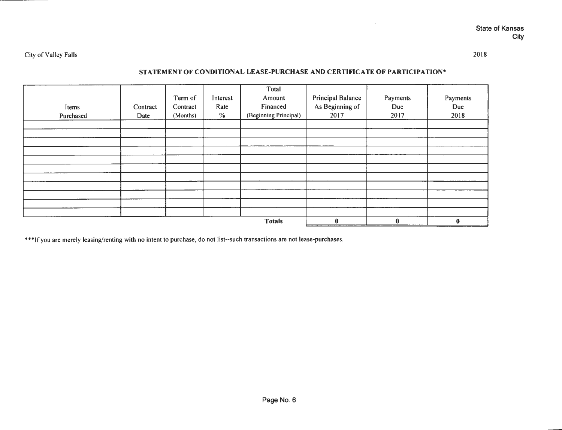### **STATEMENT OF CONDITIONAL LEASE-PURCHASE AND CERTIFICATE OF PARTICIPATION\***

| Items<br>Purchased | Contract<br>Date | Term of<br>Contract<br>(Months) | Interest<br>Rate<br>$\%$ | Total<br>Amount<br>Financed<br>(Beginning Principal) | <b>Principal Balance</b><br>As Beginning of<br>2017 | Payments<br>Due<br>2017 | Payments<br>Due<br>2018 |
|--------------------|------------------|---------------------------------|--------------------------|------------------------------------------------------|-----------------------------------------------------|-------------------------|-------------------------|
|                    |                  |                                 |                          |                                                      |                                                     |                         |                         |
|                    |                  |                                 |                          |                                                      |                                                     |                         |                         |
|                    |                  |                                 |                          |                                                      |                                                     |                         |                         |
|                    |                  |                                 |                          |                                                      |                                                     |                         |                         |
|                    |                  |                                 |                          |                                                      |                                                     |                         |                         |
|                    |                  |                                 |                          |                                                      |                                                     |                         |                         |
|                    |                  |                                 |                          |                                                      |                                                     |                         |                         |
|                    |                  |                                 |                          |                                                      |                                                     |                         |                         |
|                    |                  |                                 |                          |                                                      |                                                     |                         |                         |
|                    |                  |                                 |                          |                                                      |                                                     |                         |                         |
|                    |                  |                                 |                          | <b>Totals</b>                                        | $\mathbf{0}$                                        | $\bf{0}$                | $\bf{0}$                |

\*\*\*If you are merely leasing/renting with no intent to purchase, do not list--such transactions are not lease-purchases.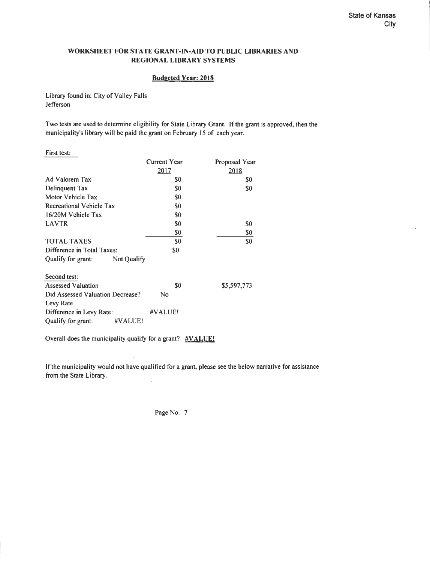#### **WORKSHEET FOR STATE GRANT-IN-AID TO PUBLIC LIBRARIES AND REGIONAL LIBRARY SYSTEMS**

#### **Budgeted Year: 2018**

Library found in: City of Valley Falls Jefferson

Two tests are used to determine eligibility for State Library Grant. If the grant is approved, then the municipality's library will be paid the grant on February 15 of each year.

| First test:                      |              |               |
|----------------------------------|--------------|---------------|
|                                  | Current Year | Proposed Year |
|                                  | <u> 2017</u> | 2018          |
| Ad Valorem Tax                   | S0           | \$0           |
| Delinquent Tax                   | SO.          | \$0           |
| Motor Vehicle Tax                | \$0          |               |
| <b>Recreational Vehicle Tax</b>  | \$0          |               |
| 16/20M Vehicle Tax               | \$0          |               |
| <b>LAVTR</b>                     | \$0          | S0            |
|                                  | \$0          | \$0           |
| <b>TOTAL TAXES</b>               | \$0          | \$0           |
| Difference in Total Taxes:       | \$0          |               |
| Qualify for grant: Not Qualify   |              |               |
| Second test:                     |              |               |
| <b>Assessed Valuation</b>        | \$0          | \$5,597,773   |
| Did Assessed Valuation Decrease? | No           |               |
| Levy Rate                        |              |               |
| Difference in Levy Rate:         | #VALUE!      |               |
| Qualify for grant:<br>#VALUE!    |              |               |

Overall does the municipality qualify for a grant? **#VALUE!** 

If the municipality would not have qualified for a grant, please see the below narrative for assistance from the State Library.

Page No. 7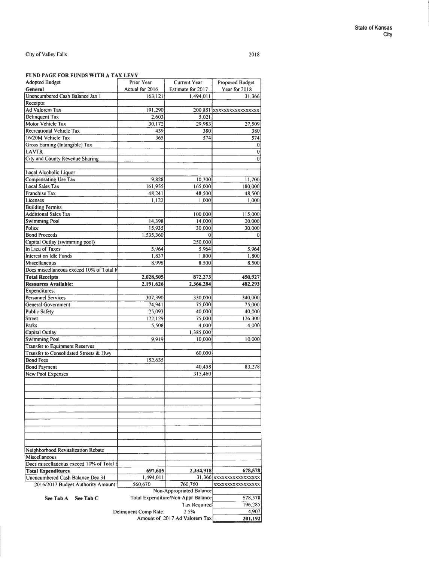#### 2018

#### **FUND PAGE FOR FUNDS WITH A TAX LEVY**

| FUND FAGE FOR FUNDS WITH A TAA LEVT      |                                    |                                       |                           |
|------------------------------------------|------------------------------------|---------------------------------------|---------------------------|
| <b>Adopted Budget</b>                    | Prior Year                         | Current Year                          | Proposed Budget           |
| General                                  | Actual for 2016                    | Estimate for 2017                     | Year for 2018             |
| Unencumbered Cash Balance Jan 1          | 163,121                            | 1,494,011                             | 31,366                    |
| Receipts:                                |                                    |                                       |                           |
| Ad Valorem Tax                           | 191,290                            |                                       | 200,851 xxxxxxxxxxxxxxxxx |
| Delinquent Tax                           | 2,603                              | 5,021                                 |                           |
| Motor Vehicle Tax                        | 30,172                             | 29,983                                | 27,509                    |
| Recreational Vehicle Tax                 | 439                                | 380                                   | 380                       |
| 16/20M Vehicle Tax                       | 365                                | 574                                   | 574                       |
| Gross Earning (Intangible) Tax           |                                    |                                       | $\bf{0}$                  |
| <b>LAVTR</b>                             |                                    |                                       | $\bf{0}$                  |
| City and County Revenue Sharing          |                                    |                                       | $\bf{0}$                  |
| Local Alcoholic Liquor                   |                                    |                                       |                           |
| Compensating Use Tax                     | 9,828                              | 10,700                                | 11,700                    |
| <b>Local Sales Tax</b>                   | 161,955                            | 165,000                               | 180,000                   |
| <b>Franchise Tax</b>                     | 48,241                             | 48,500                                | 48,500                    |
| Licenses                                 | 1,122                              | 1,000                                 | 1,000                     |
| <b>Building Permits</b>                  |                                    |                                       |                           |
| <b>Additional Sales Tax</b>              |                                    | 100,000                               | 115,000                   |
| <b>Swimming Pool</b>                     | 14,398                             | 14,000                                | 20,000                    |
| Police                                   | 15,935                             | 30,000                                | 30,000                    |
| <b>Bond Proceeds</b>                     | 1,535,360                          | $\bf{0}$                              | $\bf{0}$                  |
| Capital Outlay (swimming pool)           |                                    | 250,000                               |                           |
| In Lieu of Taxes                         | 5,964                              | 5,964                                 | 5,964                     |
| <b>Interest on Idle Funds</b>            | 1,837                              | 1,800                                 | 1,800                     |
| Miscellaneous                            | 8,996                              | 8,500                                 | 8,500                     |
| Does miscellaneous exceed 10% of Total F |                                    |                                       |                           |
| <b>Total Receipts</b>                    |                                    | 872,273                               |                           |
| <b>Resources Available:</b>              | 2,028,505                          |                                       | 450,927                   |
| Expenditures:                            | 2,191,626                          | 2,366,284                             | 482,293                   |
| <b>Personnel Services</b>                | 307,390                            | 330,000                               | 340,000                   |
| <b>General Government</b>                | 74,941                             | 75,000                                | 75,000                    |
| <b>Public Safety</b>                     | 25,093                             | 40,000                                | 40,000                    |
| <b>Street</b>                            | 122,129                            | 75,000                                | 126,300                   |
| Parks                                    | 5,508                              | 4,000                                 | 4,000                     |
| Capital Outlay                           |                                    | 1,385,000                             |                           |
| <b>Swimming Pool</b>                     | 9,919                              | 10,000                                | 10,000                    |
| <b>Transfer to Equipment Reserves</b>    |                                    |                                       |                           |
| Transfer to Consolidated Streets & Hwy   |                                    | 60,000                                |                           |
| <b>Bond Fees</b>                         | 152,635                            |                                       |                           |
| <b>Bond Payment</b>                      |                                    | 40,458                                | 83,278                    |
| <b>New Pool Expenses</b>                 |                                    | 315,460                               |                           |
|                                          |                                    |                                       |                           |
|                                          |                                    |                                       |                           |
|                                          |                                    |                                       |                           |
|                                          |                                    |                                       |                           |
|                                          |                                    |                                       |                           |
|                                          |                                    |                                       |                           |
|                                          |                                    |                                       |                           |
|                                          |                                    |                                       |                           |
|                                          |                                    |                                       |                           |
|                                          |                                    |                                       |                           |
|                                          |                                    |                                       |                           |
| Neighborhood Revitalization Rebate       |                                    |                                       |                           |
| Miscellaneous                            |                                    |                                       |                           |
| Does miscellaneous exceed 10% of Total E |                                    |                                       |                           |
| <b>Total Expenditures</b>                | 697,615                            | 2,334,918                             | 678,578                   |
| Unencumbered Cash Balance Dec 31         | 1,494,011                          |                                       | 31,366 XXXXXXXXXXXXXXXX   |
| 2016/2017 Budget Authority Amount:       | 560,670                            | 760,760                               | xxxxxxxxxxxxxxxxx         |
|                                          |                                    | Non-Appropriated Balance              |                           |
| See Tab C<br>See Tab A                   | Total Expenditure/Non-Appr Balance | 678,578                               |                           |
|                                          |                                    | <b>Tax Required</b>                   | 196,285                   |
|                                          | Delinquent Comp Rate:              | 2.5%<br>Amount of 2017 Ad Valorem Tax | 4,907                     |
|                                          | 201,192                            |                                       |                           |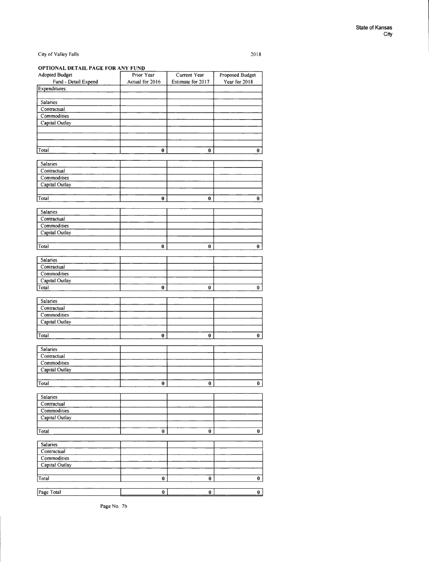**OPTIONAL DETAIL PAGE FOR ANY FUND** 

| Adopted Budget        | Prior Year      | Current Year      | <b>Proposed Budget</b> |
|-----------------------|-----------------|-------------------|------------------------|
| Fund - Detail Expend  | Actual for 2016 | Estimate for 2017 | Year for 2018          |
| Expenditures:         |                 |                   |                        |
|                       |                 |                   |                        |
| Salaries              |                 |                   |                        |
| Contractual           |                 |                   |                        |
| Commodities           |                 |                   |                        |
| Capital Outlay        |                 |                   |                        |
|                       |                 |                   |                        |
|                       |                 |                   |                        |
|                       |                 |                   |                        |
| Total                 | $\bf{0}$        | 0                 | 0                      |
|                       |                 |                   |                        |
| <b>Salaries</b>       |                 |                   |                        |
| Contractual           |                 |                   |                        |
| Commodities           |                 |                   |                        |
| Capital Outlay        |                 |                   |                        |
|                       |                 |                   |                        |
|                       |                 |                   |                        |
| Total                 | 0               | 0                 | $\bf{0}$               |
|                       |                 |                   |                        |
| Salaries              |                 |                   |                        |
| Contractual           |                 |                   |                        |
| Commodities           |                 |                   |                        |
| Capital Outlay        |                 |                   |                        |
|                       |                 |                   |                        |
| Total                 | $\bf{0}$        | 0                 | $\bf{0}$               |
|                       |                 |                   |                        |
| Salaries              |                 |                   |                        |
| Contractual           |                 |                   |                        |
| Commodities           |                 |                   |                        |
| <b>Capital Outlay</b> |                 |                   |                        |
| Total                 | 0               | 0                 | 0                      |
|                       |                 |                   |                        |
| Salaries              |                 |                   |                        |
| Contractual           |                 |                   |                        |
| Commodities           |                 |                   |                        |
| Capital Outlay        |                 |                   |                        |
|                       |                 |                   |                        |
| Total                 | $\bf{0}$        | $\bf{0}$          | $\bf{0}$               |
|                       |                 |                   |                        |
| <b>Salaries</b>       |                 |                   |                        |
| Contractual           |                 |                   |                        |
| Commodities           |                 |                   |                        |
| Capital Outlay        |                 |                   |                        |
|                       |                 |                   |                        |
| Total                 | 0               | 0                 | 0                      |
|                       |                 |                   |                        |
| Salaries              |                 |                   |                        |
| Contractual           |                 |                   |                        |
| Commodities           |                 |                   |                        |
| Capital Outlay        |                 |                   |                        |
|                       |                 |                   |                        |
| Total                 | 0               | $\bf{0}$          | $\mathbf 0$            |
|                       |                 |                   |                        |
| Salaries              |                 |                   |                        |
| Contractual           |                 |                   |                        |
|                       |                 |                   |                        |
| Commodities           |                 |                   |                        |
| Capital Outlay        |                 |                   |                        |
|                       |                 |                   |                        |
| Total                 | 0               | $\bf{0}$          | $\pmb{0}$              |
|                       |                 |                   |                        |
| Page Total            | $\mathbf{0}$    | $\mathbf{0}$      | $\mathbf{0}$           |

2018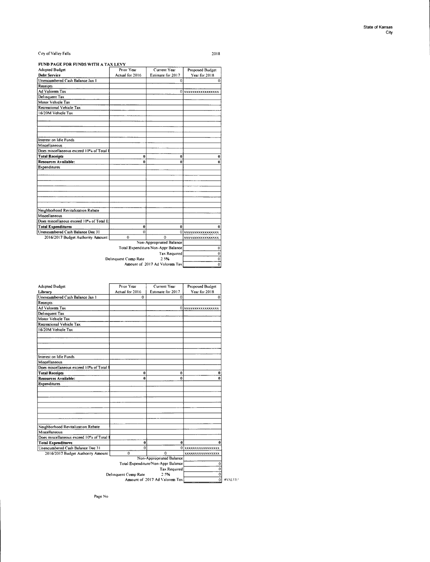#### **FUND PAGE FOR FUNDS WITH A TAX LEVY**

| <b>Debt Service</b><br>Actual for 2016<br>Year for 2018<br>Estimate for 2017<br>0<br>$\Omega$<br>Ad Valorem Tax<br>0 xxxxxxxxxxxxxxxx<br>Motor Vehicle Tax<br>16/20M Vehicle Tax<br>Interest on Idle Funds<br>Miscellaneous<br>Does miscellaneous exceed 10% of Total I<br><b>Total Receipts</b><br>$\bf{0}$<br>0<br>0<br><b>Resources Available:</b><br>0<br>0<br>0<br>Neighborhood Revitalization Rebate<br>Miscellaneous<br>Does miscellanous exceed 10% of Total E:<br><b>Total Expenditures</b><br>$\bf{0}$<br>0<br>n<br>Unencumbered Cash Balance Dec 31<br>$\Omega$<br>0 xxxxxxxxxxxxxxxx<br>2016/2017 Budget Authority Amount:<br>$\Omega$<br>$\Omega$<br>xxxxxxxxxxxxxxxxx<br>Non-Appropriated Balance<br>Total Expenditure/Non-Appr Balance<br>$\bf{0}$<br>$\overline{0}$<br><b>Tax Required</b><br>$\overline{\mathfrak{o}}$<br>2.5%<br>Delinquent Comp Rate<br>$\overline{0}$<br>Amount of 2017 Ad Valorem Tax | <b>Adopted Budget</b>           | Prior Year | Current Year | <b>Proposed Budget</b> |
|----------------------------------------------------------------------------------------------------------------------------------------------------------------------------------------------------------------------------------------------------------------------------------------------------------------------------------------------------------------------------------------------------------------------------------------------------------------------------------------------------------------------------------------------------------------------------------------------------------------------------------------------------------------------------------------------------------------------------------------------------------------------------------------------------------------------------------------------------------------------------------------------------------------------------|---------------------------------|------------|--------------|------------------------|
|                                                                                                                                                                                                                                                                                                                                                                                                                                                                                                                                                                                                                                                                                                                                                                                                                                                                                                                            |                                 |            |              |                        |
|                                                                                                                                                                                                                                                                                                                                                                                                                                                                                                                                                                                                                                                                                                                                                                                                                                                                                                                            | Unencumbered Cash Balance Jan 1 |            |              |                        |
|                                                                                                                                                                                                                                                                                                                                                                                                                                                                                                                                                                                                                                                                                                                                                                                                                                                                                                                            | Receipts:                       |            |              |                        |
|                                                                                                                                                                                                                                                                                                                                                                                                                                                                                                                                                                                                                                                                                                                                                                                                                                                                                                                            |                                 |            |              |                        |
|                                                                                                                                                                                                                                                                                                                                                                                                                                                                                                                                                                                                                                                                                                                                                                                                                                                                                                                            | Delinquent Tax                  |            |              |                        |
|                                                                                                                                                                                                                                                                                                                                                                                                                                                                                                                                                                                                                                                                                                                                                                                                                                                                                                                            |                                 |            |              |                        |
|                                                                                                                                                                                                                                                                                                                                                                                                                                                                                                                                                                                                                                                                                                                                                                                                                                                                                                                            | Recreational Vehicle Tax        |            |              |                        |
|                                                                                                                                                                                                                                                                                                                                                                                                                                                                                                                                                                                                                                                                                                                                                                                                                                                                                                                            |                                 |            |              |                        |
|                                                                                                                                                                                                                                                                                                                                                                                                                                                                                                                                                                                                                                                                                                                                                                                                                                                                                                                            |                                 |            |              |                        |
|                                                                                                                                                                                                                                                                                                                                                                                                                                                                                                                                                                                                                                                                                                                                                                                                                                                                                                                            |                                 |            |              |                        |
|                                                                                                                                                                                                                                                                                                                                                                                                                                                                                                                                                                                                                                                                                                                                                                                                                                                                                                                            |                                 |            |              |                        |
|                                                                                                                                                                                                                                                                                                                                                                                                                                                                                                                                                                                                                                                                                                                                                                                                                                                                                                                            |                                 |            |              |                        |
|                                                                                                                                                                                                                                                                                                                                                                                                                                                                                                                                                                                                                                                                                                                                                                                                                                                                                                                            |                                 |            |              |                        |
|                                                                                                                                                                                                                                                                                                                                                                                                                                                                                                                                                                                                                                                                                                                                                                                                                                                                                                                            |                                 |            |              |                        |
|                                                                                                                                                                                                                                                                                                                                                                                                                                                                                                                                                                                                                                                                                                                                                                                                                                                                                                                            |                                 |            |              |                        |
|                                                                                                                                                                                                                                                                                                                                                                                                                                                                                                                                                                                                                                                                                                                                                                                                                                                                                                                            |                                 |            |              |                        |
|                                                                                                                                                                                                                                                                                                                                                                                                                                                                                                                                                                                                                                                                                                                                                                                                                                                                                                                            |                                 |            |              |                        |
|                                                                                                                                                                                                                                                                                                                                                                                                                                                                                                                                                                                                                                                                                                                                                                                                                                                                                                                            | Expenditures:                   |            |              |                        |
|                                                                                                                                                                                                                                                                                                                                                                                                                                                                                                                                                                                                                                                                                                                                                                                                                                                                                                                            |                                 |            |              |                        |
|                                                                                                                                                                                                                                                                                                                                                                                                                                                                                                                                                                                                                                                                                                                                                                                                                                                                                                                            |                                 |            |              |                        |
|                                                                                                                                                                                                                                                                                                                                                                                                                                                                                                                                                                                                                                                                                                                                                                                                                                                                                                                            |                                 |            |              |                        |
|                                                                                                                                                                                                                                                                                                                                                                                                                                                                                                                                                                                                                                                                                                                                                                                                                                                                                                                            |                                 |            |              |                        |
|                                                                                                                                                                                                                                                                                                                                                                                                                                                                                                                                                                                                                                                                                                                                                                                                                                                                                                                            |                                 |            |              |                        |
|                                                                                                                                                                                                                                                                                                                                                                                                                                                                                                                                                                                                                                                                                                                                                                                                                                                                                                                            |                                 |            |              |                        |
|                                                                                                                                                                                                                                                                                                                                                                                                                                                                                                                                                                                                                                                                                                                                                                                                                                                                                                                            |                                 |            |              |                        |
|                                                                                                                                                                                                                                                                                                                                                                                                                                                                                                                                                                                                                                                                                                                                                                                                                                                                                                                            |                                 |            |              |                        |
|                                                                                                                                                                                                                                                                                                                                                                                                                                                                                                                                                                                                                                                                                                                                                                                                                                                                                                                            |                                 |            |              |                        |
|                                                                                                                                                                                                                                                                                                                                                                                                                                                                                                                                                                                                                                                                                                                                                                                                                                                                                                                            |                                 |            |              |                        |
|                                                                                                                                                                                                                                                                                                                                                                                                                                                                                                                                                                                                                                                                                                                                                                                                                                                                                                                            |                                 |            |              |                        |
|                                                                                                                                                                                                                                                                                                                                                                                                                                                                                                                                                                                                                                                                                                                                                                                                                                                                                                                            |                                 |            |              |                        |
|                                                                                                                                                                                                                                                                                                                                                                                                                                                                                                                                                                                                                                                                                                                                                                                                                                                                                                                            |                                 |            |              |                        |
|                                                                                                                                                                                                                                                                                                                                                                                                                                                                                                                                                                                                                                                                                                                                                                                                                                                                                                                            |                                 |            |              |                        |
|                                                                                                                                                                                                                                                                                                                                                                                                                                                                                                                                                                                                                                                                                                                                                                                                                                                                                                                            |                                 |            |              |                        |
|                                                                                                                                                                                                                                                                                                                                                                                                                                                                                                                                                                                                                                                                                                                                                                                                                                                                                                                            |                                 |            |              |                        |
|                                                                                                                                                                                                                                                                                                                                                                                                                                                                                                                                                                                                                                                                                                                                                                                                                                                                                                                            |                                 |            |              |                        |
|                                                                                                                                                                                                                                                                                                                                                                                                                                                                                                                                                                                                                                                                                                                                                                                                                                                                                                                            |                                 |            |              |                        |

| <b>Adopted Budget</b>                    | Prior Year           | Current Year                       | Proposed Budget    |
|------------------------------------------|----------------------|------------------------------------|--------------------|
| Library                                  | Actual for 2016      | Estimate for 2017                  | Year for 2018      |
| Unencumbered Cash Balance Jan 1          | $\Omega$             | $\Omega$                           |                    |
| Receipts:                                |                      |                                    |                    |
| <b>Ad Valorem Tax</b>                    |                      |                                    | 0 xxxxxxxxxxxxxxxx |
| Delinquent Tax                           |                      |                                    |                    |
| Motor Vehicle Tax                        |                      |                                    |                    |
| Recreational Vehicle Tax                 |                      |                                    |                    |
| 16/20M Vehicle Tax                       |                      |                                    |                    |
|                                          |                      |                                    |                    |
|                                          |                      |                                    |                    |
|                                          |                      |                                    |                    |
|                                          |                      |                                    |                    |
| Interest on Idle Funds                   |                      |                                    |                    |
| Miscellaneous                            |                      |                                    |                    |
| Does miscellaneous exceed 10% of Total I |                      |                                    |                    |
| <b>Total Receipts</b>                    | 0                    | $\bf{0}$                           | Ô                  |
| <b>Resources Available:</b>              | $\mathbf{0}$         | $\bf{0}$                           |                    |
| <b>Expenditures</b>                      |                      |                                    |                    |
|                                          |                      |                                    |                    |
|                                          |                      |                                    |                    |
|                                          |                      |                                    |                    |
|                                          |                      |                                    |                    |
|                                          |                      |                                    |                    |
|                                          |                      |                                    |                    |
|                                          |                      |                                    |                    |
| Neighborhood Revitalization Rebate       |                      |                                    |                    |
| Miscellaneous                            |                      |                                    |                    |
| Does miscellaneous exceed 10% of Total I |                      |                                    |                    |
| <b>Total Expenditures</b>                | $\ddot{\mathbf{0}}$  | $\mathbf 0$                        | $\theta$           |
| Unencumbered Cash Balance Dec 31         | $\Omega$             |                                    | 0 xxxxxxxxxxxxxxxx |
| 2016/2017 Budget Authority Amount        | 0                    | $\Omega$                           | xxxxxxxxxxxxxxxxx  |
|                                          |                      | Non-Appropriated Balance           |                    |
|                                          |                      | Total Expenditure/Non-Appr Balance | 0                  |
|                                          |                      | Tax Required                       | $\theta$           |
|                                          | Delinquent Comp Rate | 2.5%                               | $\mathbf 0$        |
|                                          |                      | Amount of 2017 Ad Valorem Taxi     | $\Omega$           |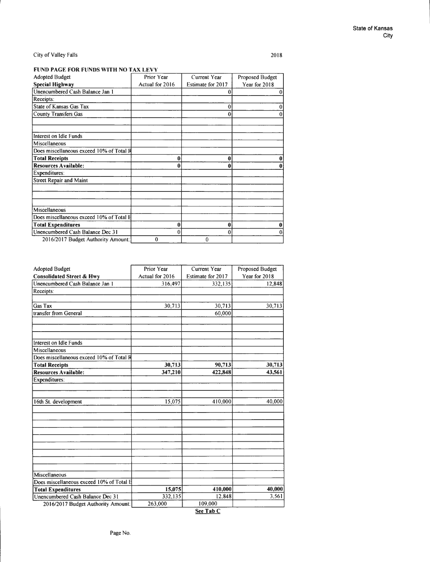2018

### **FUND PAGE FOR FUNDS WITH NO TAX LEVY**

| Prior Year      | Current Year      | Proposed Budget |
|-----------------|-------------------|-----------------|
| Actual for 2016 | Estimate for 2017 | Year for 2018   |
|                 | O                 |                 |
|                 |                   |                 |
|                 | $\theta$          |                 |
|                 | $\bf{0}$          |                 |
|                 |                   |                 |
|                 |                   |                 |
|                 |                   |                 |
|                 |                   |                 |
|                 |                   |                 |
|                 | 0                 |                 |
|                 |                   |                 |
|                 |                   |                 |
|                 |                   |                 |
|                 |                   |                 |
|                 |                   |                 |
| Û               | 0                 |                 |
|                 | $\theta$          |                 |
| $\theta$        | $\bf{0}$          |                 |
|                 | 0                 | 0               |

| <b>Adopted Budget</b>                    | Prior Year      | <b>Current Year</b> | Proposed Budget |
|------------------------------------------|-----------------|---------------------|-----------------|
| <b>Consolidated Street &amp; Hwy</b>     | Actual for 2016 | Estimate for 2017   | Year for 2018   |
| Unencumbered Cash Balance Jan 1          | 316,497         | 332,135             | 12,848          |
| Receipts:                                |                 |                     |                 |
|                                          |                 |                     |                 |
| Gas Tax                                  | 30,713          | 30,713              | 30,713          |
| transfer from General                    |                 | 60,000              |                 |
|                                          |                 |                     |                 |
|                                          |                 |                     |                 |
|                                          |                 |                     |                 |
| Interest on Idle Funds                   |                 |                     |                 |
| Miscellaneous                            |                 |                     |                 |
| Does miscellaneous exceed 10% of Total R |                 |                     |                 |
| <b>Total Receipts</b>                    | 30,713          | 90,713              | 30,713          |
| <b>Resources Available:</b>              | 347,210         | 422,848             | 43,561          |
| <b>Expenditures:</b>                     |                 |                     |                 |
|                                          |                 |                     |                 |
|                                          |                 |                     |                 |
| 16th St. development                     | 15,075          | 410,000             | 40,000          |
|                                          |                 |                     |                 |
|                                          |                 |                     |                 |
|                                          |                 |                     |                 |
|                                          |                 |                     |                 |
|                                          |                 |                     |                 |
|                                          |                 |                     |                 |
|                                          |                 |                     |                 |
|                                          |                 |                     |                 |
|                                          |                 |                     |                 |
| Miscellaneous                            |                 |                     |                 |
| Does miscellaneous exceed 10% of Total E |                 |                     |                 |
| <b>Total Expenditures</b>                | 15,075          | 410,000             | 40,000          |
| Unencumbered Cash Balance Dec 31         | 332,135         | 12,848              | 3,561           |
| 2016/2017 Budget Authority Amount:       | 263,000         | 109,000             |                 |

**See Tab** C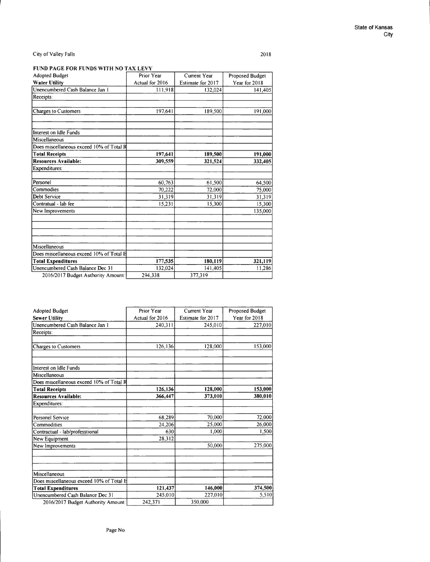2018

### FUND PAGE FOR FUNDS WITH NO TAX LEVY

| <b>Adopted Budget</b>                    | Prior Year      | Current Year      | Proposed Budget |
|------------------------------------------|-----------------|-------------------|-----------------|
| <b>Water Utility</b>                     | Actual for 2016 | Estimate for 2017 | Year for 2018   |
| Unencumbered Cash Balance Jan 1          | 111,918         | 132,024           | 141,405         |
| Receipts:                                |                 |                   |                 |
|                                          |                 |                   |                 |
| <b>Charges to Customers</b>              | 197,641         | 189,500           | 191,000         |
|                                          |                 |                   |                 |
| Interest on Idle Funds                   |                 |                   |                 |
| Miscellaneous                            |                 |                   |                 |
| Does miscellaneous exceed 10% of Total R |                 |                   |                 |
| <b>Total Receipts</b>                    | 197,641         | 189,500           | 191,000         |
| <b>Resources Available:</b>              | 309,559         | 321,524           | 332,405         |
| Expenditures:                            |                 |                   |                 |
| Personel                                 | 60,763          | 61,500            | 64,500          |
| Commodies                                | 70,222          | 72,000            | 75,000          |
| <b>Debt Service</b>                      | 31,319          | 31,319            | 31,319          |
| Contratual - lab fee                     | 15,231          | 15.300            | 15,300          |
| New Improvements                         |                 |                   | 135,000         |
|                                          |                 |                   |                 |
| Miscellaneous                            |                 |                   |                 |
| Does miscellaneous exceed 10% of Total B |                 |                   |                 |
| <b>Total Expenditures</b>                | 177,535         | 180,119           | 321,119         |
| Unencumbered Cash Balance Dec 31         | 132,024         | 141.405           | 11.286          |
| 2016/2017 Budget Authority Amount:       | 294.338         | 377.319           |                 |

| <b>Adopted Budget</b>                    | Prior Year      | Current Year      | Proposed Budget |
|------------------------------------------|-----------------|-------------------|-----------------|
| <b>Sewer Utility</b>                     | Actual for 2016 | Estimate for 2017 | Year for 2018   |
| Unencumbered Cash Balance Jan 1          | 240,311         | 245,010           | 227,010         |
| Receipts:                                |                 |                   |                 |
| Charges to Customers                     | 126,136         | 128,000           | 153,000         |
| Interest on Idle Funds                   |                 |                   |                 |
| Miscellaneous                            |                 |                   |                 |
| Does miscellaneous exceed 10% of Total R |                 |                   |                 |
| <b>Total Receipts</b>                    | 126,136         | 128,000           | 153,000         |
| <b>Resources Available:</b>              | 366,447         | 373,010           | 380,010         |
| Expenditures:                            |                 |                   |                 |
| <b>Personel Service</b>                  | 68,289          | 70,000            | 72,000          |
| Commodities                              | 24,206          | 25,000            | 26,000          |
| Contractual - lab/professtional          | 630             | 1.000             | 1.500           |
| New Equipment                            | 28,312          |                   |                 |
| New Improvements                         |                 | 50,000            | 275,000         |
|                                          |                 |                   |                 |
| Miscellaneous                            |                 |                   |                 |
| Does miscellaneous exceed 10% of Total E |                 |                   |                 |
| <b>Total Expenditures</b>                | 121,437         | 146,000           | 374,500         |
| Unencumbered Cash Balance Dec 31         | 245,010         | 227,010           | 5,510           |
| 2016/2017 Budget Authority Amount:       | 242,371         | 350,000           |                 |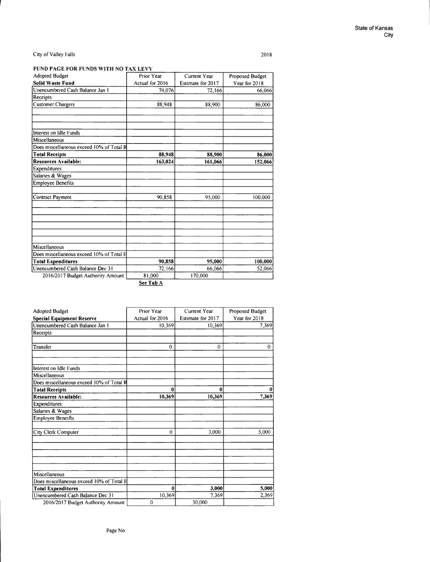I I

#### City of Valley Falls

2018

## **FUND PAGE FOR FUNDS WITH NO TAX LEVY**

| <b>Adopted Budget</b>                    | Prior Year                     | Current Year      | Proposed Budget |
|------------------------------------------|--------------------------------|-------------------|-----------------|
| <b>Solid Waste Fund</b>                  | Actual for 2016                | Estimate for 2017 | Year for 2018   |
| Unencumbered Cash Balance Jan 1          | 74,076                         | 72,166            | 66,066          |
| Receipts:                                |                                |                   |                 |
| <b>Customer Chargers</b>                 | 88,948                         | 88,900            | 86,000          |
|                                          |                                |                   |                 |
| Interest on Idle Funds                   |                                |                   |                 |
| Miscellaneous                            |                                |                   |                 |
| Does miscellaneous exceed 10% of Total R |                                |                   |                 |
| <b>Total Receipts</b>                    | 88,948                         | 88,900            | 86,000          |
| <b>Resources Available:</b>              | 163,024                        | 161,066           | 152,066         |
| Expenditures:                            |                                |                   |                 |
| Salaries & Wages                         |                                |                   |                 |
| <b>Employee Benefits</b>                 |                                |                   |                 |
|                                          |                                |                   |                 |
| <b>Contract Payment</b>                  | 90,858                         | 95,000            | 100,000         |
|                                          |                                |                   |                 |
|                                          |                                |                   |                 |
|                                          |                                |                   |                 |
| Miscellaneous                            |                                |                   |                 |
| Does miscellaneous exceed 10% of Total B |                                |                   |                 |
| <b>Total Expenditures</b>                | 90,858                         | 95,000            | 100,000         |
| Unencumbered Cash Balance Dec 31         | 72,166                         | 66,066            | 52,066          |
| 2016/2017 Budget Authority Amount:       | 81,000<br>$\sim$ $\sim$ $\sim$ | 170,000           |                 |

*Ste* **Tab A** 

| <b>Adopted Budget</b>                                     | <b>Prior Year</b> | Current Year      | Proposed Budget |
|-----------------------------------------------------------|-------------------|-------------------|-----------------|
| <b>Special Equipment Reserve</b>                          | Actual for 2016   | Estimate for 2017 | Year for 2018   |
| Unencumbered Cash Balance Jan 1                           | 10,369            | 10,369            | 7,369           |
| Receipts:                                                 |                   |                   |                 |
| Transfer                                                  | $\theta$          | $\Omega$          | $\Omega$        |
| Interest on Idle Funds                                    |                   |                   |                 |
| Miscellaneous<br>Does miscellaneous exceed 10% of Total R |                   |                   |                 |
| <b>Total Receipts</b>                                     | $\theta$          | 0                 |                 |
| <b>Resources Available:</b>                               | 10,369            | 10,369            | 7,369           |
| Expenditures:                                             |                   |                   |                 |
| Salaries & Wages                                          |                   |                   |                 |
| <b>Employee Beneifts</b>                                  |                   |                   |                 |
| City Clerk Computer                                       | $\theta$          | 3,000             | 5,000           |
|                                                           |                   |                   |                 |
| Miscellaneous                                             |                   |                   |                 |
| Does miscellaneous exceed 10% of Total H                  |                   |                   |                 |
| <b>Total Expenditures</b>                                 | $\bf{0}$          | 3,000             | 5,000           |
| Unencumbered Cash Balance Dec 31                          | 10,369            | 7,369             | 2,369           |
| 2016/2017 Budget Authority Amount:                        | $\theta$          | 30,000            |                 |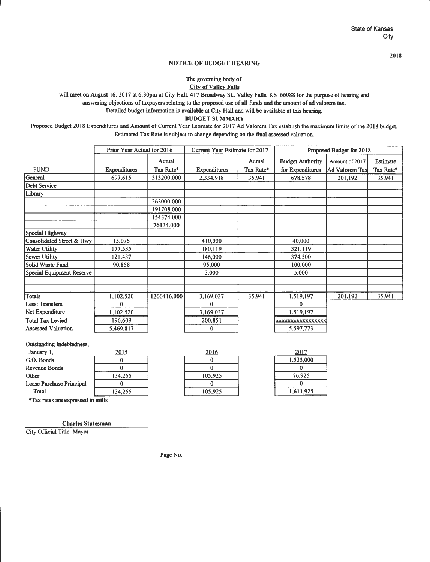2018

#### NOTICE OF BUDGET HEARING

The governing body of **City of Valley Falls** 

will meet on August 16, 2017 at 6:30pm at City Hall, 417 Broadway St., Valley Falls, KS 66088 for the purpose of hearing and

answering objections of taxpayers relating to the proposed use of all funds and the amount of ad valorem tax.

Detailed budget information is available at City Hall and will be available at this hearing.

**BUDGET SUMMARY** 

Proposed Budget 2018 Expenditures and Amount of Current Year Estimate for 2017 Ad Valorem Tax establish the maximum limits of the 2018 budget. Estimated Tax Rate is subject to change depending on the final assessed valuation.

|                           | Prior Year Actual for 2016 |             | Current Year Estimate for 2017 |           |                         | Proposed Budget for 2018 |           |  |
|---------------------------|----------------------------|-------------|--------------------------------|-----------|-------------------------|--------------------------|-----------|--|
|                           |                            | Actual      |                                | Actual    | <b>Budget Authority</b> | Amount of 2017           | Estimate  |  |
| <b>FUND</b>               | <b>Expenditures</b>        | Tax Rate*   | <b>Expenditures</b>            | Tax Rate* | for Expenditures        | Ad Valorem Tax           | Tax Rate* |  |
| General                   | 697,615                    | 515200.000  | 2,334,918                      | 35.941    | 678,578                 | 201,192                  | 35.941    |  |
| Debt Service              |                            |             |                                |           |                         |                          |           |  |
| Library                   |                            |             |                                |           |                         |                          |           |  |
|                           |                            | 263000.000  |                                |           |                         |                          |           |  |
|                           |                            | 191708.000  |                                |           |                         |                          |           |  |
|                           |                            | 154374.000  |                                |           |                         |                          |           |  |
|                           |                            | 76134.000   |                                |           |                         |                          |           |  |
| Special Highway           |                            |             |                                |           |                         |                          |           |  |
| Consolidated Street & Hwy | 15,075                     |             | 410,000                        |           | 40,000                  |                          |           |  |
| Water Utility             | 177,535                    |             | 180,119                        |           | 321,119                 |                          |           |  |
| Sewer Utility             | 121,437                    |             | 146,000                        |           | 374,500                 |                          |           |  |
| Solid Waste Fund          | 90,858                     |             | 95,000                         |           | 100,000                 |                          |           |  |
| Special Equipment Reserve |                            |             | 3,000                          |           | 5.000                   |                          |           |  |
|                           |                            |             |                                |           |                         |                          |           |  |
| Totals                    | 1,102,520                  | 1200416,000 | 3,169,037                      | 35.941    | 1,519,197               | 201,192                  | 35.941    |  |
| Less: Transfers           | $\bf{0}$                   |             | 0                              |           | $\Omega$                |                          |           |  |
| Net Expenditure           | 1,102,520                  |             | 3,169,037                      |           | 1,519,197               |                          |           |  |
| <b>Total Tax Levied</b>   | 196,609                    |             | 200,851                        |           | XXXXXXXXXXXXXXXXX       |                          |           |  |
| <b>Assessed Valuation</b> | 5,469,817                  |             | $\bf{0}$                       |           | 5,597,773               |                          |           |  |

Outstanding Indebtedness,

| January 1,                        | <u> 2015</u> | 2016    | 2017      |
|-----------------------------------|--------------|---------|-----------|
| G.O. Bonds                        |              |         | 1,535,000 |
| <b>Revenue Bonds</b>              |              |         |           |
| Other                             | 134,255      | 105.925 | 76,925    |
| Lease Purchase Principal          |              |         |           |
| Total                             | 134.255      | 105,925 | 1,611,925 |
| *Tax astes are consecond in mille |              |         |           |

\*Tax rates are expressed in mills

**Charles Stutesman** 

City Official Title: Mayor

Page No.